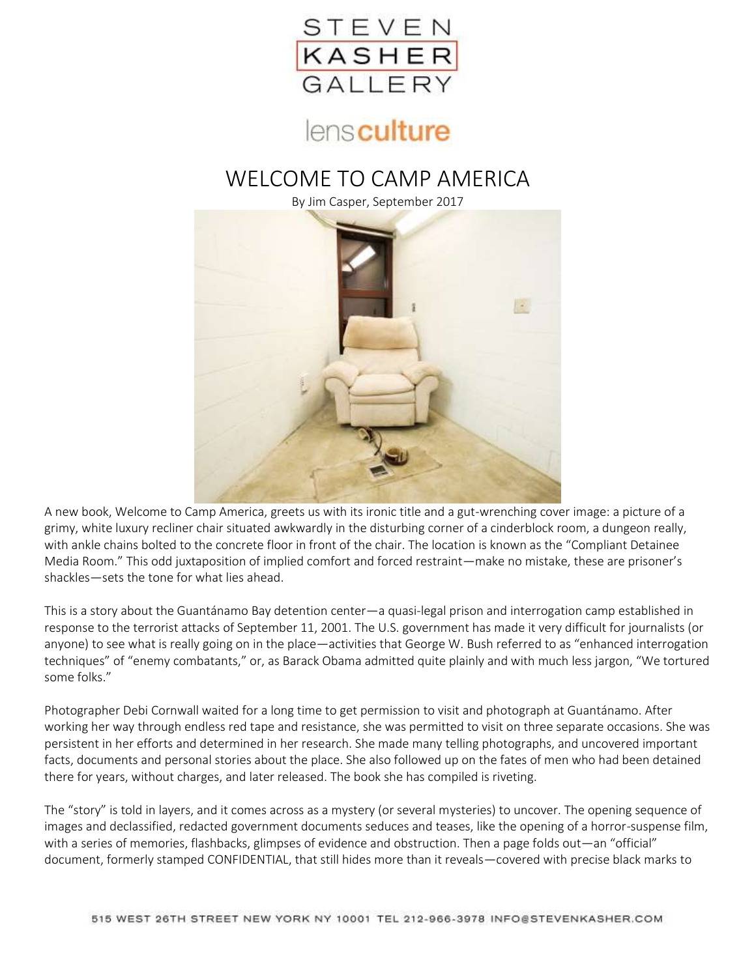

# lensculture

## WELCOME TO CAMP AMERICA

By Jim Casper, September 2017



A new book, Welcome to Camp America, greets us with its ironic title and a gut-wrenching cover image: a picture of a grimy, white luxury recliner chair situated awkwardly in the disturbing corner of a cinderblock room, a dungeon really, with ankle chains bolted to the concrete floor in front of the chair. The location is known as the "Compliant Detainee Media Room." This odd juxtaposition of implied comfort and forced restraint—make no mistake, these are prisoner's shackles—sets the tone for what lies ahead.

This is a story about the Guantánamo Bay detention center—a quasi-legal prison and interrogation camp established in response to the terrorist attacks of September 11, 2001. The U.S. government has made it very difficult for journalists (or anyone) to see what is really going on in the place—activities that George W. Bush referred to as "enhanced interrogation techniques" of "enemy combatants," or, as Barack Obama admitted quite plainly and with much less jargon, "We tortured some folks."

Photographer Debi Cornwall waited for a long time to get permission to visit and photograph at Guantánamo. After working her way through endless red tape and resistance, she was permitted to visit on three separate occasions. She was persistent in her efforts and determined in her research. She made many telling photographs, and uncovered important facts, documents and personal stories about the place. She also followed up on the fates of men who had been detained there for years, without charges, and later released. The book she has compiled is riveting.

The "story" is told in layers, and it comes across as a mystery (or several mysteries) to uncover. The opening sequence of images and declassified, redacted government documents seduces and teases, like the opening of a horror-suspense film, with a series of memories, flashbacks, glimpses of evidence and obstruction. Then a page folds out—an "official" document, formerly stamped CONFIDENTIAL, that still hides more than it reveals—covered with precise black marks to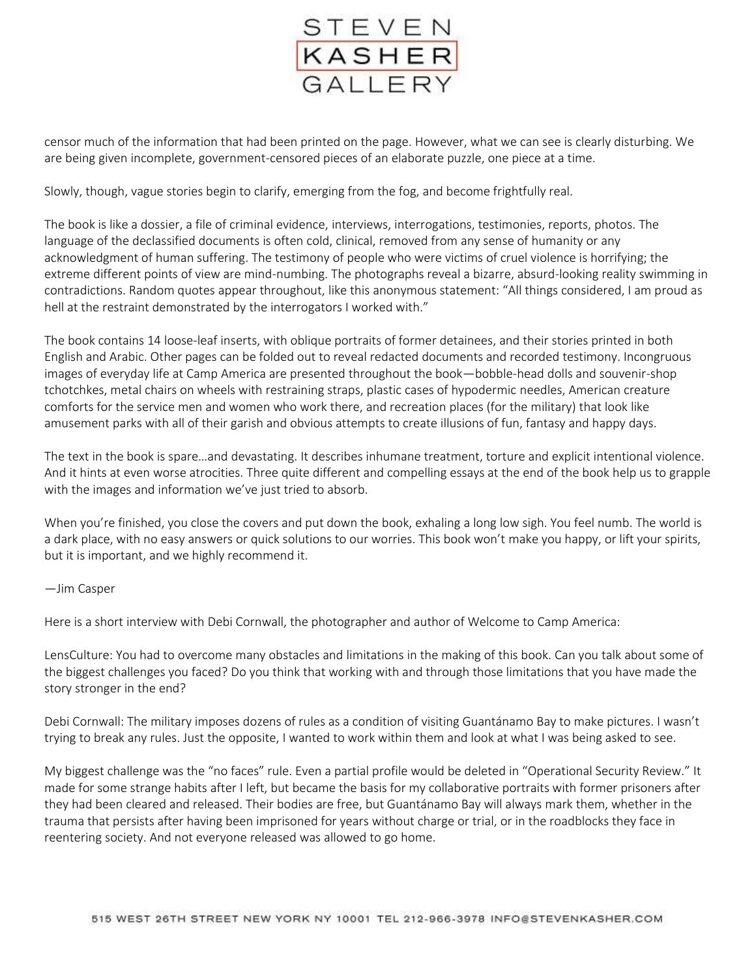

censor much of the information that had been printed on the page. However, what we can see is clearly disturbing. We are being given incomplete, government-censored pieces of an elaborate puzzle, one piece at a time.

Slowly, though, vague stories begin to clarify, emerging from the fog, and become frightfully real.

The book is like a dossier, a file of criminal evidence, interviews, interrogations, testimonies, reports, photos. The language of the declassified documents is often cold, clinical, removed from any sense of humanity or any acknowledgment of human suffering. The testimony of people who were victims of cruel violence is horrifying; the extreme different points of view are mind-numbing. The photographs reveal a bizarre, absurd-looking reality swimming in contradictions. Random quotes appear throughout, like this anonymous statement: "All things considered, I am proud as hell at the restraint demonstrated by the interrogators I worked with."

The book contains 14 loose-leaf inserts, with oblique portraits of former detainees, and their stories printed in both English and Arabic. Other pages can be folded out to reveal redacted documents and recorded testimony. Incongruous images of everyday life at Camp America are presented throughout the book—bobble-head dolls and souvenir-shop tchotchkes, metal chairs on wheels with restraining straps, plastic cases of hypodermic needles, American creature comforts for the service men and women who work there, and recreation places (for the military) that look like amusement parks with all of their garish and obvious attempts to create illusions of fun, fantasy and happy days.

The text in the book is spare…and devastating. It describes inhumane treatment, torture and explicit intentional violence. And it hints at even worse atrocities. Three quite different and compelling essays at the end of the book help us to grapple with the images and information we've just tried to absorb.

When you're finished, you close the covers and put down the book, exhaling a long low sigh. You feel numb. The world is a dark place, with no easy answers or quick solutions to our worries. This book won't make you happy, or lift your spirits, but it is important, and we highly recommend it.

#### —Jim Casper

Here is a short interview with Debi Cornwall, the photographer and author of Welcome to Camp America:

LensCulture: You had to overcome many obstacles and limitations in the making of this book. Can you talk about some of the biggest challenges you faced? Do you think that working with and through those limitations that you have made the story stronger in the end?

Debi Cornwall: The military imposes dozens of rules as a condition of visiting Guantánamo Bay to make pictures. I wasn't trying to break any rules. Just the opposite, I wanted to work within them and look at what I was being asked to see.

My biggest challenge was the "no faces" rule. Even a partial profile would be deleted in "Operational Security Review." It made for some strange habits after I left, but became the basis for my collaborative portraits with former prisoners after they had been cleared and released. Their bodies are free, but Guantánamo Bay will always mark them, whether in the trauma that persists after having been imprisoned for years without charge or trial, or in the roadblocks they face in reentering society. And not everyone released was allowed to go home.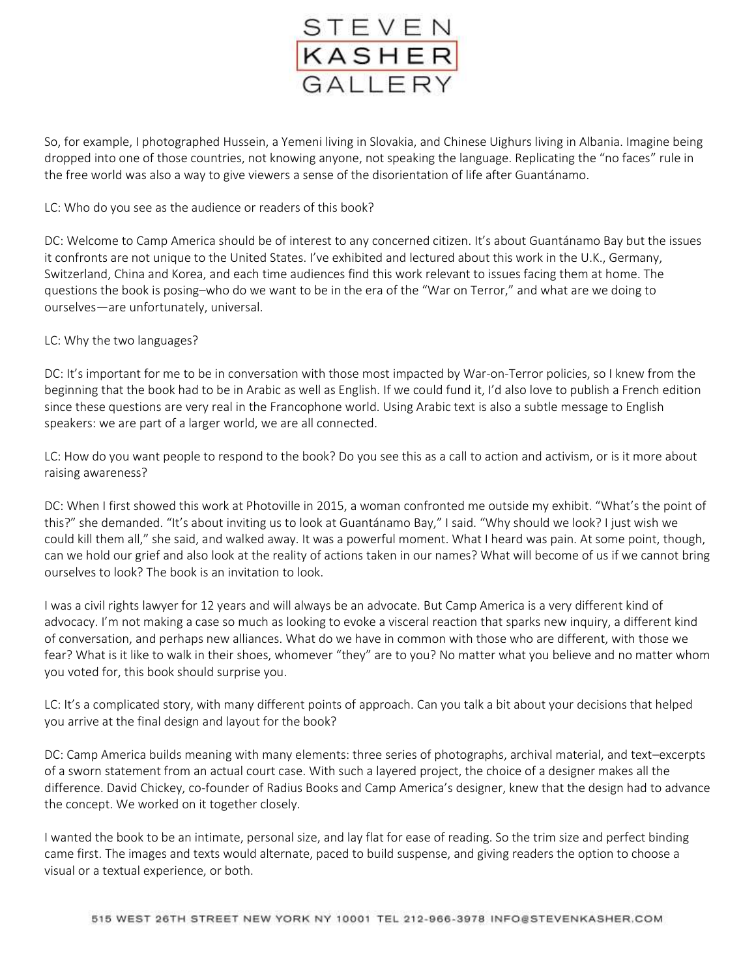

So, for example, I photographed Hussein, a Yemeni living in Slovakia, and Chinese Uighurs living in Albania. Imagine being dropped into one of those countries, not knowing anyone, not speaking the language. Replicating the "no faces" rule in the free world was also a way to give viewers a sense of the disorientation of life after Guantánamo.

### LC: Who do you see as the audience or readers of this book?

DC: Welcome to Camp America should be of interest to any concerned citizen. It's about Guantánamo Bay but the issues it confronts are not unique to the United States. I've exhibited and lectured about this work in the U.K., Germany, Switzerland, China and Korea, and each time audiences find this work relevant to issues facing them at home. The questions the book is posing–who do we want to be in the era of the "War on Terror," and what are we doing to ourselves—are unfortunately, universal.

#### LC: Why the two languages?

DC: It's important for me to be in conversation with those most impacted by War-on-Terror policies, so I knew from the beginning that the book had to be in Arabic as well as English. If we could fund it, I'd also love to publish a French edition since these questions are very real in the Francophone world. Using Arabic text is also a subtle message to English speakers: we are part of a larger world, we are all connected.

LC: How do you want people to respond to the book? Do you see this as a call to action and activism, or is it more about raising awareness?

DC: When I first showed this work at Photoville in 2015, a woman confronted me outside my exhibit. "What's the point of this?" she demanded. "It's about inviting us to look at Guantánamo Bay," I said. "Why should we look? I just wish we could kill them all," she said, and walked away. It was a powerful moment. What I heard was pain. At some point, though, can we hold our grief and also look at the reality of actions taken in our names? What will become of us if we cannot bring ourselves to look? The book is an invitation to look.

I was a civil rights lawyer for 12 years and will always be an advocate. But Camp America is a very different kind of advocacy. I'm not making a case so much as looking to evoke a visceral reaction that sparks new inquiry, a different kind of conversation, and perhaps new alliances. What do we have in common with those who are different, with those we fear? What is it like to walk in their shoes, whomever "they" are to you? No matter what you believe and no matter whom you voted for, this book should surprise you.

LC: It's a complicated story, with many different points of approach. Can you talk a bit about your decisions that helped you arrive at the final design and layout for the book?

DC: Camp America builds meaning with many elements: three series of photographs, archival material, and text–excerpts of a sworn statement from an actual court case. With such a layered project, the choice of a designer makes all the difference. David Chickey, co-founder of Radius Books and Camp America's designer, knew that the design had to advance the concept. We worked on it together closely.

I wanted the book to be an intimate, personal size, and lay flat for ease of reading. So the trim size and perfect binding came first. The images and texts would alternate, paced to build suspense, and giving readers the option to choose a visual or a textual experience, or both.